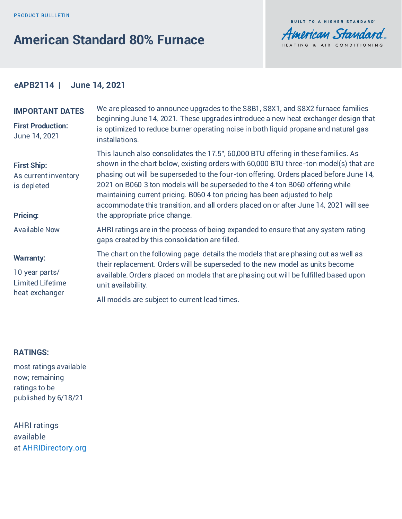# **American Standard 80% Furnace**



# **eAPB2114 | June 14, 2021**

### **IMPORTANT DATES**

**First Production:** June 14, 2021

**First Ship:**

As current inventory is depleted

#### **Pricing:**

Available Now

#### **Warranty:**

10 year parts/ Limited Lifetime heat exchanger

We are pleased to announce upgrades to the S8B1, S8X1, and S8X2 furnace families beginning June 14, 2021. These upgrades introduce a new heat exchanger design that is optimized to reduce burner operating noise in both liquid propane and natural gas **installations** 

This launch also consolidates the 17.5", 60,000 BTU offering in these families. As shown in the chart below, existing orders with 60,000 BTU three-ton model(s) that are phasing out will be superseded to the four-ton offering. Orders placed before June 14, 2021 on B060 3 ton models will be superseded to the 4 ton B060 offering while maintaining current pricing. B060 4 ton pricing has been adjusted to help accommodate this transition, and all orders placed on or after June 14, 2021 will see the appropriate price change.

AHRI ratings are in the process of being expanded to ensure that any system rating gaps created by this consolidation are filled.

The chart on the following page details the models that are phasing out as well as their replacement. Orders will be superseded to the new model as units become available. Orders placed on models that are phasing out will be fulfilled based upon unit availability.

All models are subject to current lead times.

## **RATINGS:**

most ratings available now; remaining ratings to be published by 6/18/21

AHRI ratings available at AHRID[irectory.org](http://ahridirectory.org)